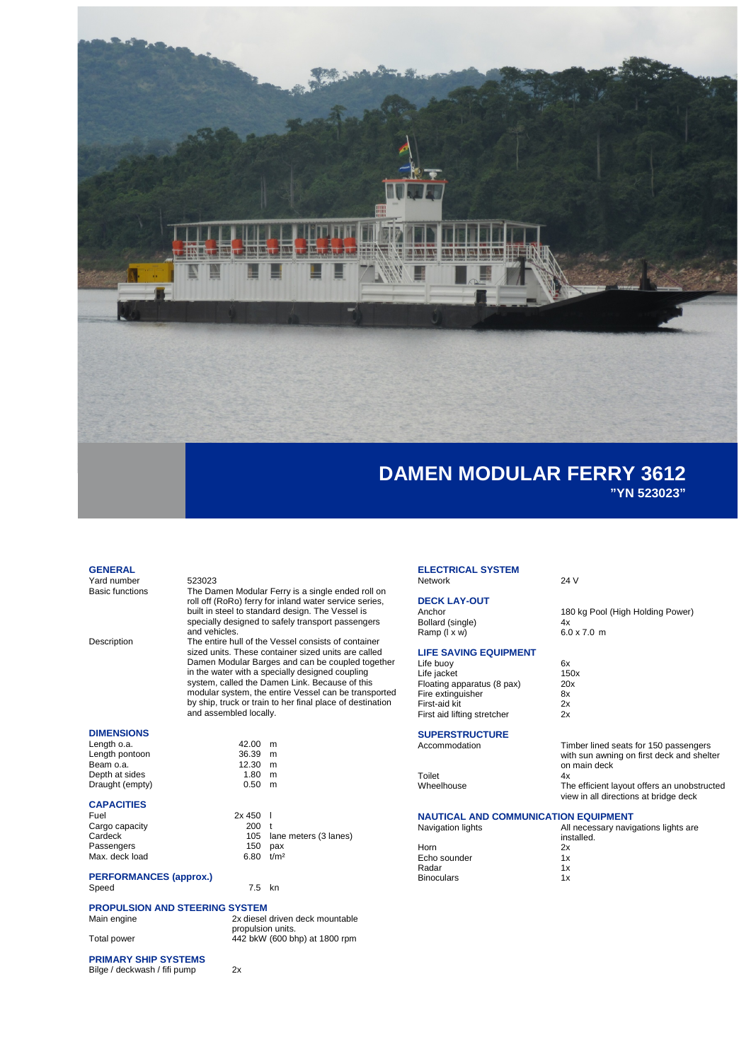

# **DAMEN MODULAR FERRY 3612 "YN 523023"**

#### **GENERAL**

Yard number 523023<br>Basic functions The Dar

The Damen Modular Ferry is a single ended roll on roll off (RoRo) ferry for inland water service series, built in steel to standard design. The Vessel is specially designed to safely transport passengers and vehicles.

Description The entire hull of the Vessel consists of container sized units. These container sized units are called Damen Modular Barges and can be coupled together in the water with a specially designed coupling system, called the Damen Link. Because of this modular system, the entire Vessel can be transported by ship, truck or train to her final place of destination and assembled locally.

> $42.00$  m  $36.39$  m  $12.30$  m  $1.80$  m<br>0.50 m  $0.50$

#### **DIMENSIONS**

| Length o.a.     |
|-----------------|
| Length pontoon  |
| Beam o.a.       |
| Depth at sides  |
| Draught (empty) |

## **CAPACITIES**

| Fuel           | $2x 450$ 1    |                           |
|----------------|---------------|---------------------------|
| Cargo capacity | 200 t         |                           |
| Cardeck        |               | 105 lane meters (3 lanes) |
| Passengers     | 150           | pax                       |
| Max. deck load | $6.80$ $t/m2$ |                           |
|                |               |                           |

# **PERFORMANCES (approx.)**

 $7.5$  kn

## **PROPULSION AND STEERING SYSTEM**

| Main engine | 2x diesel driven deck mountable                    |
|-------------|----------------------------------------------------|
| Total power | propulsion units.<br>442 bkW (600 bhp) at 1800 rpm |

## **PRIMARY SHIP SYSTEMS**

Bilge / deckwash / fifi pump 2x

**ELECTRICAL SYSTEM** Network 24 V

# **DECK LAY-OUT**

Bollard (single)  $4x$ <br>
Ramp ( $1 \times w$ ) 6.0 x 7.0 m Ramp  $(i \times w)$ 

### **LIFE SAVING EQUIPMENT**

Life buoy 6x<br>
Life jacket 150x Life jacket 150x Floating apparatus (8 pax) 20x Fire extinguisher 8x First-aid kit 2x<br>First aid lifting stretcher 2x First aid lifting stretcher

# **SUPERSTRUCTURE**

Toilet<br>Wheelhouse

### **NAUTICAL AND COMMUNICATION EQUIPMENT**

| <u>IN DIN DIN AND VOITING INVATION LAULI IIILIN I</u> |                                                    |  |
|-------------------------------------------------------|----------------------------------------------------|--|
| Navigation lights                                     | All necessary navigations lights are<br>installed. |  |
| Horn                                                  | 2x                                                 |  |
| Echo sounder                                          | 1x                                                 |  |
| Radar                                                 | 1x                                                 |  |
| <b>Binoculars</b>                                     | 1x                                                 |  |
|                                                       |                                                    |  |

on main deck<br>4x

180 kg Pool (High Holding Power)<br>4x

Timber lined seats for 150 passengers with sun awning on first deck and shelter

The efficient layout offers an unobstructed view in all directions at bridge deck